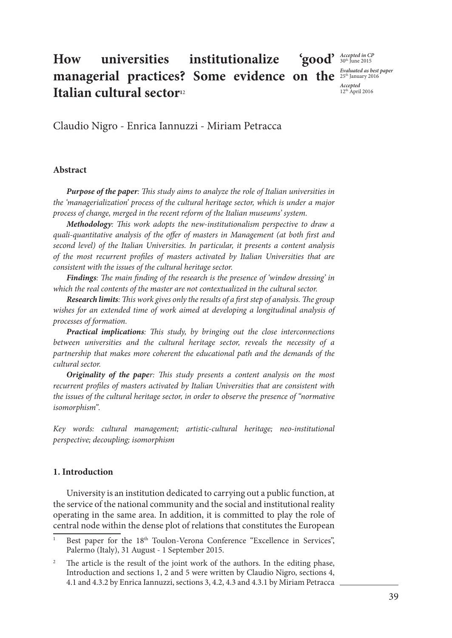#### How universities institutionalize **managerial practices? Some evidence on the** <sup>Evaluated as best paper</sup> **Italian cultural sector**<sup>12</sup> *Accepted in CP* 30th June 2015 *Accepted*  12th April 2016

Claudio Nigro - Enrica Iannuzzi - Miriam Petracca

#### **Abstract**

*Purpose of the paper: This study aims to analyze the role of Italian universities in the 'managerialization' process of the cultural heritage sector, which is under a major process of change, merged in the recent reform of the Italian museums' system.* 

*Methodology: This work adopts the new-institutionalism perspective to draw a quali-quantitative analysis of the offer of masters in Management (at both first and second level) of the Italian Universities. In particular, it presents a content analysis of the most recurrent profiles of masters activated by Italian Universities that are consistent with the issues of the cultural heritage sector.*

*Findings: The main finding of the research is the presence of 'window dressing' in which the real contents of the master are not contextualized in the cultural sector.* 

*Research limits: This work gives only the results of a first step of analysis. The group wishes for an extended time of work aimed at developing a longitudinal analysis of processes of formation.*

*Practical implications: This study, by bringing out the close interconnections between universities and the cultural heritage sector, reveals the necessity of a partnership that makes more coherent the educational path and the demands of the cultural sector.*

*Originality of the paper: This study presents a content analysis on the most recurrent profiles of masters activated by Italian Universities that are consistent with the issues of the cultural heritage sector, in order to observe the presence of "normative isomorphism".*

*Key words: cultural management; artistic-cultural heritage; neo-institutional perspective; decoupling; isomorphism*

## **1. Introduction**

University is an institution dedicated to carrying out a public function, at the service of the national community and the social and institutional reality operating in the same area. In addition, it is committed to play the role of central node within the dense plot of relations that constitutes the European

Best paper for the 18<sup>th</sup> Toulon-Verona Conference "Excellence in Services", Palermo (Italy), 31 August - 1 September 2015.

<sup>&</sup>lt;sup>2</sup> The article is the result of the joint work of the authors. In the editing phase, Introduction and sections 1, 2 and 5 were written by Claudio Nigro, sections 4, 4.1 and 4.3.2 by Enrica Iannuzzi, sections 3, 4.2, 4.3 and 4.3.1 by Miriam Petracca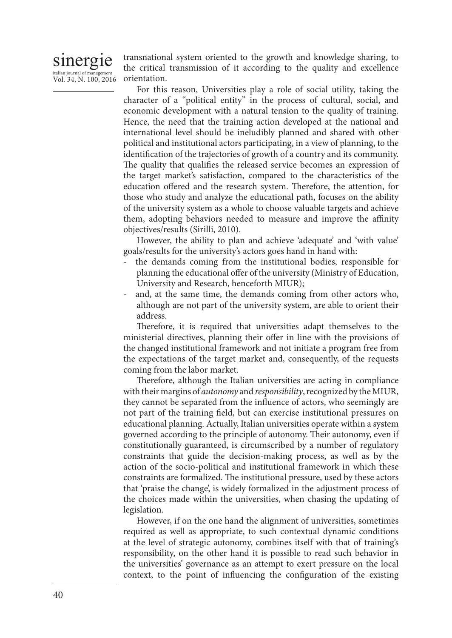

transnational system oriented to the growth and knowledge sharing, to the critical transmission of it according to the quality and excellence orientation.

For this reason, Universities play a role of social utility, taking the character of a "political entity" in the process of cultural, social, and economic development with a natural tension to the quality of training. Hence, the need that the training action developed at the national and international level should be ineludibly planned and shared with other political and institutional actors participating, in a view of planning, to the identification of the trajectories of growth of a country and its community. The quality that qualifies the released service becomes an expression of the target market's satisfaction, compared to the characteristics of the education offered and the research system. Therefore, the attention, for those who study and analyze the educational path, focuses on the ability of the university system as a whole to choose valuable targets and achieve them, adopting behaviors needed to measure and improve the affinity objectives/results (Sirilli, 2010).

However, the ability to plan and achieve 'adequate' and 'with value' goals/results for the university's actors goes hand in hand with:

- the demands coming from the institutional bodies, responsible for planning the educational offer of the university (Ministry of Education, University and Research, henceforth MIUR);
- and, at the same time, the demands coming from other actors who, although are not part of the university system, are able to orient their address.

Therefore, it is required that universities adapt themselves to the ministerial directives, planning their offer in line with the provisions of the changed institutional framework and not initiate a program free from the expectations of the target market and, consequently, of the requests coming from the labor market.

Therefore, although the Italian universities are acting in compliance with their margins of *autonomy* and *responsibility*, recognized by the MIUR, they cannot be separated from the influence of actors, who seemingly are not part of the training field, but can exercise institutional pressures on educational planning. Actually, Italian universities operate within a system governed according to the principle of autonomy. Their autonomy, even if constitutionally guaranteed, is circumscribed by a number of regulatory constraints that guide the decision-making process, as well as by the action of the socio-political and institutional framework in which these constraints are formalized. The institutional pressure, used by these actors that 'praise the change', is widely formalized in the adjustment process of the choices made within the universities, when chasing the updating of legislation.

However, if on the one hand the alignment of universities, sometimes required as well as appropriate, to such contextual dynamic conditions at the level of strategic autonomy, combines itself with that of training's responsibility, on the other hand it is possible to read such behavior in the universities' governance as an attempt to exert pressure on the local context, to the point of influencing the configuration of the existing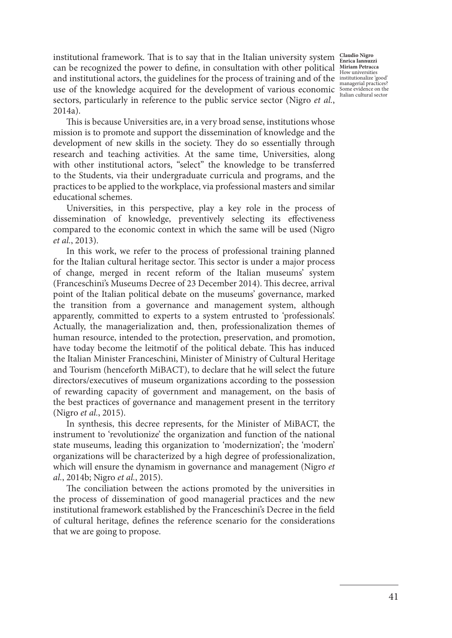institutional framework. That is to say that in the Italian university system <sup>Claudio Nigro</sup> **EXECUTE: Enrica Iannuzzi**<br> **Can be recognized the power to define, in consultation with other political** *Miriam Petracca***<br>
How universities** and institutional actors, the guidelines for the process of training and of the  $\frac{1}{2}$  maturical produces managerial practices?<br>
use of the knowledge acquired for the development of various economic some evidence on the sectors, particularly in reference to the public service sector (Nigro *et al.*, 2014a).

This is because Universities are, in a very broad sense, institutions whose mission is to promote and support the dissemination of knowledge and the development of new skills in the society. They do so essentially through research and teaching activities. At the same time, Universities, along with other institutional actors, "select" the knowledge to be transferred to the Students, via their undergraduate curricula and programs, and the practices to be applied to the workplace, via professional masters and similar educational schemes.

Universities, in this perspective, play a key role in the process of dissemination of knowledge, preventively selecting its effectiveness compared to the economic context in which the same will be used (Nigro *et al.*, 2013).

In this work, we refer to the process of professional training planned for the Italian cultural heritage sector. This sector is under a major process of change, merged in recent reform of the Italian museums' system (Franceschini's Museums Decree of 23 December 2014). This decree, arrival point of the Italian political debate on the museums' governance, marked the transition from a governance and management system, although apparently, committed to experts to a system entrusted to 'professionals'. Actually, the managerialization and, then, professionalization themes of human resource, intended to the protection, preservation, and promotion, have today become the leitmotif of the political debate. This has induced the Italian Minister Franceschini, Minister of Ministry of Cultural Heritage and Tourism (henceforth MiBACT), to declare that he will select the future directors/executives of museum organizations according to the possession of rewarding capacity of government and management, on the basis of the best practices of governance and management present in the territory (Nigro *et al.*, 2015).

In synthesis, this decree represents, for the Minister of MiBACT, the instrument to 'revolutionize' the organization and function of the national state museums, leading this organization to 'modernization'; the 'modern' organizations will be characterized by a high degree of professionalization, which will ensure the dynamism in governance and management (Nigro *et al.*, 2014b; Nigro *et al.*, 2015).

The conciliation between the actions promoted by the universities in the process of dissemination of good managerial practices and the new institutional framework established by the Franceschini's Decree in the field of cultural heritage, defines the reference scenario for the considerations that we are going to propose.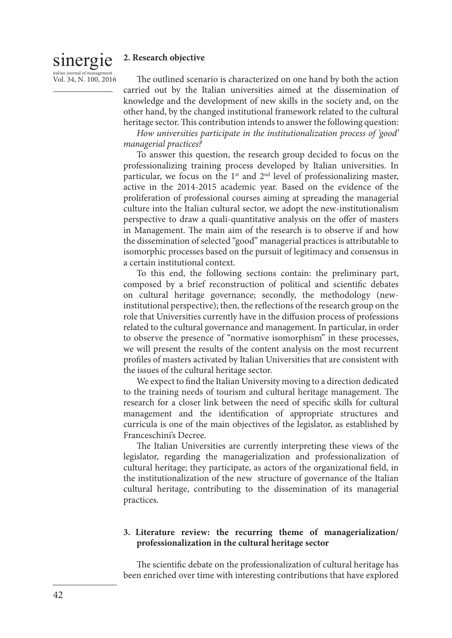#### sinergie  $italign$  italian journal of management **2. Research objective**

Vol. 34, N. 100, 2016

The outlined scenario is characterized on one hand by both the action carried out by the Italian universities aimed at the dissemination of knowledge and the development of new skills in the society and, on the other hand, by the changed institutional framework related to the cultural heritage sector. This contribution intends to answer the following question:

*How universities participate in the institutionalization process of 'good' managerial practices?*

To answer this question, the research group decided to focus on the professionalizing training process developed by Italian universities. In particular, we focus on the  $1<sup>st</sup>$  and  $2<sup>nd</sup>$  level of professionalizing master, active in the 2014-2015 academic year. Based on the evidence of the proliferation of professional courses aiming at spreading the managerial culture into the Italian cultural sector, we adopt the new-institutionalism perspective to draw a quali-quantitative analysis on the offer of masters in Management. The main aim of the research is to observe if and how the dissemination of selected "good" managerial practices is attributable to isomorphic processes based on the pursuit of legitimacy and consensus in a certain institutional context.

To this end, the following sections contain: the preliminary part, composed by a brief reconstruction of political and scientific debates on cultural heritage governance; secondly, the methodology (newinstitutional perspective); then, the reflections of the research group on the role that Universities currently have in the diffusion process of professions related to the cultural governance and management. In particular, in order to observe the presence of "normative isomorphism" in these processes, we will present the results of the content analysis on the most recurrent profiles of masters activated by Italian Universities that are consistent with the issues of the cultural heritage sector.

We expect to find the Italian University moving to a direction dedicated to the training needs of tourism and cultural heritage management. The research for a closer link between the need of specific skills for cultural management and the identification of appropriate structures and curricula is one of the main objectives of the legislator, as established by Franceschini's Decree.

The Italian Universities are currently interpreting these views of the legislator, regarding the managerialization and professionalization of cultural heritage; they participate, as actors of the organizational field, in the institutionalization of the new structure of governance of the Italian cultural heritage, contributing to the dissemination of its managerial practices.

## **3. Literature review: the recurring theme of managerialization/ professionalization in the cultural heritage sector**

The scientific debate on the professionalization of cultural heritage has been enriched over time with interesting contributions that have explored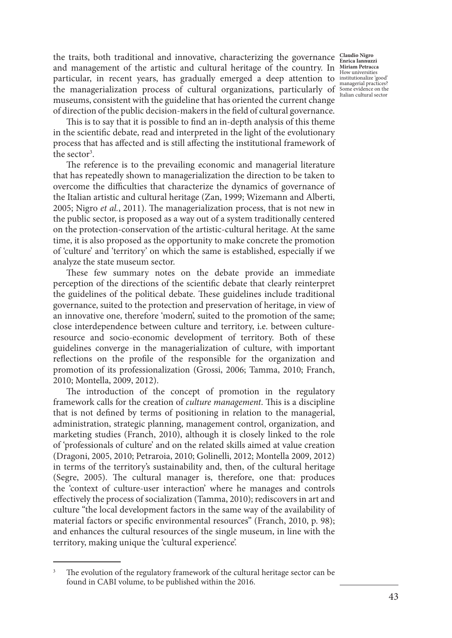the traits, both traditional and innovative, characterizing the governance **Claudio Nigro**  and management of the artistic and cultural heritage of the country. In *Hiriam Petracca* and management of the artistic and cultural heritage of the country. In *Hiriam Petracca* particular, in recent years, has gradually emerged a deep attention to  $\frac{\text{insutational}}{\text{massical resolution}}$ The managerialization process of cultural organizations, particularly of  $\frac{1}{\text{Ialian culural sectors}}$ museums, consistent with the guideline that has oriented the current change of direction of the public decision-makers in the field of cultural governance.

This is to say that it is possible to find an in-depth analysis of this theme in the scientific debate, read and interpreted in the light of the evolutionary process that has affected and is still affecting the institutional framework of the sector<sup>3</sup>.

The reference is to the prevailing economic and managerial literature that has repeatedly shown to managerialization the direction to be taken to overcome the difficulties that characterize the dynamics of governance of the Italian artistic and cultural heritage (Zan, 1999; Wizemann and Alberti, 2005; Nigro *et al.*, 2011). The managerialization process, that is not new in the public sector, is proposed as a way out of a system traditionally centered on the protection-conservation of the artistic-cultural heritage. At the same time, it is also proposed as the opportunity to make concrete the promotion of 'culture' and 'territory' on which the same is established, especially if we analyze the state museum sector.

These few summary notes on the debate provide an immediate perception of the directions of the scientific debate that clearly reinterpret the guidelines of the political debate. These guidelines include traditional governance, suited to the protection and preservation of heritage, in view of an innovative one, therefore 'modern', suited to the promotion of the same; close interdependence between culture and territory, i.e. between cultureresource and socio-economic development of territory. Both of these guidelines converge in the managerialization of culture, with important reflections on the profile of the responsible for the organization and promotion of its professionalization (Grossi, 2006; Tamma, 2010; Franch, 2010; Montella, 2009, 2012).

The introduction of the concept of promotion in the regulatory framework calls for the creation of *culture management*. This is a discipline that is not defined by terms of positioning in relation to the managerial, administration, strategic planning, management control, organization, and marketing studies (Franch, 2010), although it is closely linked to the role of 'professionals of culture' and on the related skills aimed at value creation (Dragoni, 2005, 2010; Petraroia, 2010; Golinelli, 2012; Montella 2009, 2012) in terms of the territory's sustainability and, then, of the cultural heritage (Segre, 2005). The cultural manager is, therefore, one that: produces the 'context of culture-user interaction' where he manages and controls effectively the process of socialization (Tamma, 2010); rediscovers in art and culture "the local development factors in the same way of the availability of material factors or specific environmental resources" (Franch, 2010, p. 98); and enhances the cultural resources of the single museum, in line with the territory, making unique the 'cultural experience'.

The evolution of the regulatory framework of the cultural heritage sector can be found in CABI volume, to be published within the 2016.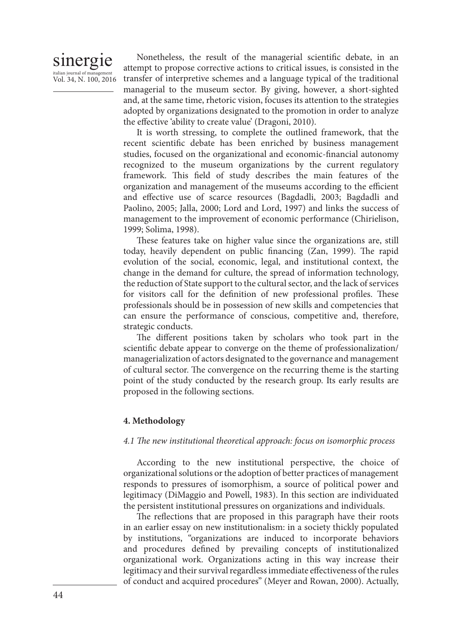# sinergie italian journal of management Vol. 34, N. 100, 2016

Nonetheless, the result of the managerial scientific debate, in an attempt to propose corrective actions to critical issues, is consisted in the transfer of interpretive schemes and a language typical of the traditional managerial to the museum sector. By giving, however, a short-sighted and, at the same time, rhetoric vision, focuses its attention to the strategies adopted by organizations designated to the promotion in order to analyze the effective 'ability to create value' (Dragoni, 2010).

It is worth stressing, to complete the outlined framework, that the recent scientific debate has been enriched by business management studies, focused on the organizational and economic-financial autonomy recognized to the museum organizations by the current regulatory framework. This field of study describes the main features of the organization and management of the museums according to the efficient and effective use of scarce resources (Bagdadli, 2003; Bagdadli and Paolino, 2005; Jalla, 2000; Lord and Lord, 1997) and links the success of management to the improvement of economic performance (Chirielison, 1999; Solima, 1998).

These features take on higher value since the organizations are, still today, heavily dependent on public financing (Zan, 1999). The rapid evolution of the social, economic, legal, and institutional context, the change in the demand for culture, the spread of information technology, the reduction of State support to the cultural sector, and the lack of services for visitors call for the definition of new professional profiles. These professionals should be in possession of new skills and competencies that can ensure the performance of conscious, competitive and, therefore, strategic conducts.

The different positions taken by scholars who took part in the scientific debate appear to converge on the theme of professionalization/ managerialization of actors designated to the governance and management of cultural sector. The convergence on the recurring theme is the starting point of the study conducted by the research group. Its early results are proposed in the following sections.

## **4. Methodology**

## *4.1 The new institutional theoretical approach: focus on isomorphic process*

According to the new institutional perspective, the choice of organizational solutions or the adoption of better practices of management responds to pressures of isomorphism, a source of political power and legitimacy (DiMaggio and Powell, 1983). In this section are individuated the persistent institutional pressures on organizations and individuals.

The reflections that are proposed in this paragraph have their roots in an earlier essay on new institutionalism: in a society thickly populated by institutions, "organizations are induced to incorporate behaviors and procedures defined by prevailing concepts of institutionalized organizational work. Organizations acting in this way increase their legitimacy and their survival regardless immediate effectiveness of the rules of conduct and acquired procedures" (Meyer and Rowan, 2000). Actually,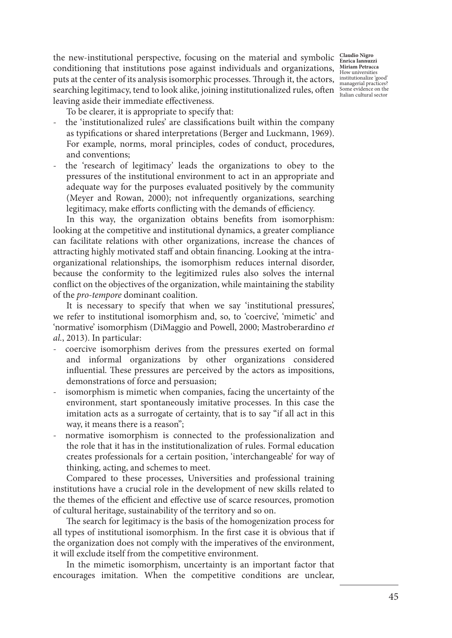the new-institutional perspective, focusing on the material and symbolic **Claudio Nigro Enrica Iannuzzi**  conditioning that institutions pose against individuals and organizations, *Miriam Petracca* puts at the center of its analysis isomorphic processes. Through it, the actors, institutionalize 'good' Find the term of the distribution of the context price processes. The distriction of the state of managerial practices?<br>Some evidence on the managerial practices? leaving aside their immediate effectiveness.

To be clearer, it is appropriate to specify that:

- the 'institutionalized rules' are classifications built within the company as typifications or shared interpretations (Berger and Luckmann, 1969). For example, norms, moral principles, codes of conduct, procedures, and conventions;
- the 'research of legitimacy' leads the organizations to obey to the pressures of the institutional environment to act in an appropriate and adequate way for the purposes evaluated positively by the community (Meyer and Rowan, 2000); not infrequently organizations, searching legitimacy, make efforts conflicting with the demands of efficiency.

In this way, the organization obtains benefits from isomorphism: looking at the competitive and institutional dynamics, a greater compliance can facilitate relations with other organizations, increase the chances of attracting highly motivated staff and obtain financing. Looking at the intraorganizational relationships, the isomorphism reduces internal disorder, because the conformity to the legitimized rules also solves the internal conflict on the objectives of the organization, while maintaining the stability of the *pro-tempore* dominant coalition.

It is necessary to specify that when we say 'institutional pressures', we refer to institutional isomorphism and, so, to 'coercive', 'mimetic' and 'normative' isomorphism (DiMaggio and Powell, 2000; Mastroberardino *et al.*, 2013). In particular:

- coercive isomorphism derives from the pressures exerted on formal and informal organizations by other organizations considered influential. These pressures are perceived by the actors as impositions, demonstrations of force and persuasion;
- isomorphism is mimetic when companies, facing the uncertainty of the environment, start spontaneously imitative processes. In this case the imitation acts as a surrogate of certainty, that is to say "if all act in this way, it means there is a reason";
- normative isomorphism is connected to the professionalization and the role that it has in the institutionalization of rules. Formal education creates professionals for a certain position, 'interchangeable' for way of thinking, acting, and schemes to meet.

Compared to these processes, Universities and professional training institutions have a crucial role in the development of new skills related to the themes of the efficient and effective use of scarce resources, promotion of cultural heritage, sustainability of the territory and so on.

The search for legitimacy is the basis of the homogenization process for all types of institutional isomorphism. In the first case it is obvious that if the organization does not comply with the imperatives of the environment, it will exclude itself from the competitive environment.

In the mimetic isomorphism, uncertainty is an important factor that encourages imitation. When the competitive conditions are unclear,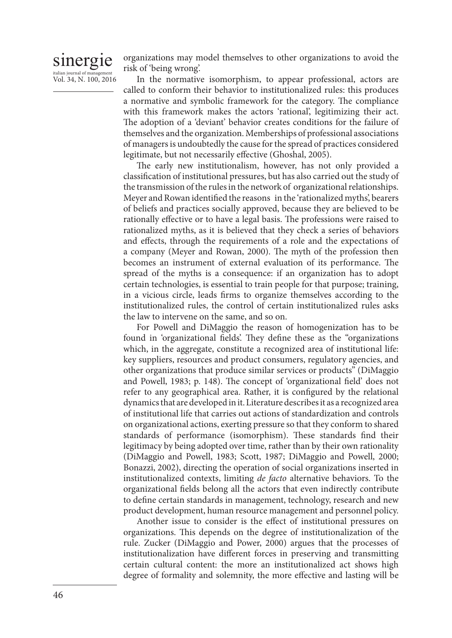# sinergie italian journal of management Vol. 34, N. 100, 2016

organizations may model themselves to other organizations to avoid the risk of 'being wrong'.

In the normative isomorphism, to appear professional, actors are called to conform their behavior to institutionalized rules: this produces a normative and symbolic framework for the category. The compliance with this framework makes the actors 'rational', legitimizing their act. The adoption of a 'deviant' behavior creates conditions for the failure of themselves and the organization. Memberships of professional associations of managers is undoubtedly the cause for the spread of practices considered legitimate, but not necessarily effective (Ghoshal, 2005).

The early new institutionalism, however, has not only provided a classification of institutional pressures, but has also carried out the study of the transmission of the rules in the network of organizational relationships. Meyer and Rowan identified the reasons in the 'rationalized myths', bearers of beliefs and practices socially approved, because they are believed to be rationally effective or to have a legal basis. The professions were raised to rationalized myths, as it is believed that they check a series of behaviors and effects, through the requirements of a role and the expectations of a company (Meyer and Rowan, 2000). The myth of the profession then becomes an instrument of external evaluation of its performance. The spread of the myths is a consequence: if an organization has to adopt certain technologies, is essential to train people for that purpose; training, in a vicious circle, leads firms to organize themselves according to the institutionalized rules, the control of certain institutionalized rules asks the law to intervene on the same, and so on.

For Powell and DiMaggio the reason of homogenization has to be found in 'organizational fields'. They define these as the "organizations which, in the aggregate, constitute a recognized area of institutional life: key suppliers, resources and product consumers, regulatory agencies, and other organizations that produce similar services or products" (DiMaggio and Powell, 1983; p. 148). The concept of 'organizational field' does not refer to any geographical area. Rather, it is configured by the relational dynamics that are developed in it. Literature describes it as a recognized area of institutional life that carries out actions of standardization and controls on organizational actions, exerting pressure so that they conform to shared standards of performance (isomorphism). These standards find their legitimacy by being adopted over time, rather than by their own rationality (DiMaggio and Powell, 1983; Scott, 1987; DiMaggio and Powell, 2000; Bonazzi, 2002), directing the operation of social organizations inserted in institutionalized contexts, limiting *de facto* alternative behaviors. To the organizational fields belong all the actors that even indirectly contribute to define certain standards in management, technology, research and new product development, human resource management and personnel policy.

Another issue to consider is the effect of institutional pressures on organizations. This depends on the degree of institutionalization of the rule. Zucker (DiMaggio and Power, 2000) argues that the processes of institutionalization have different forces in preserving and transmitting certain cultural content: the more an institutionalized act shows high degree of formality and solemnity, the more effective and lasting will be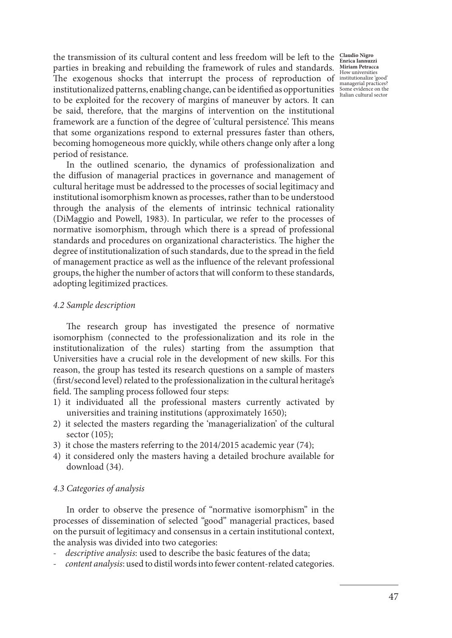the transmission of its cultural content and less freedom will be left to the **Claudio Nigro Enrica Iannuzzi**  parties in breaking and rebuilding the framework of rules and standards. The exogenous shocks that interrupt the process of reproduction of  $\frac{\text{insutational result}}{\text{msatational result}}$ institutionalized patterns, enabling change, can be identified as opportunities to be exploited for the recovery of margins of maneuver by actors. It can be said, therefore, that the margins of intervention on the institutional framework are a function of the degree of 'cultural persistence'. This means that some organizations respond to external pressures faster than others, becoming homogeneous more quickly, while others change only after a long period of resistance.

In the outlined scenario, the dynamics of professionalization and the diffusion of managerial practices in governance and management of cultural heritage must be addressed to the processes of social legitimacy and institutional isomorphism known as processes, rather than to be understood through the analysis of the elements of intrinsic technical rationality (DiMaggio and Powell, 1983). In particular, we refer to the processes of normative isomorphism, through which there is a spread of professional standards and procedures on organizational characteristics. The higher the degree of institutionalization of such standards, due to the spread in the field of management practice as well as the influence of the relevant professional groups, the higher the number of actors that will conform to these standards, adopting legitimized practices.

#### *4.2 Sample description*

The research group has investigated the presence of normative isomorphism (connected to the professionalization and its role in the institutionalization of the rules) starting from the assumption that Universities have a crucial role in the development of new skills. For this reason, the group has tested its research questions on a sample of masters (first/second level) related to the professionalization in the cultural heritage's field. The sampling process followed four steps:

- 1) it individuated all the professional masters currently activated by universities and training institutions (approximately 1650);
- 2) it selected the masters regarding the 'managerialization' of the cultural sector (105);
- 3) it chose the masters referring to the 2014/2015 academic year (74);
- 4) it considered only the masters having a detailed brochure available for download (34).

## *4.3 Categories of analysis*

In order to observe the presence of "normative isomorphism" in the processes of dissemination of selected "good" managerial practices, based on the pursuit of legitimacy and consensus in a certain institutional context, the analysis was divided into two categories:

- *descriptive analysis*: used to describe the basic features of the data;
- *content analysis*: used to distil words into fewer content-related categories.

**Miriam Petracca**  How universities managerial practices? Some evidence on the Italian cultural sector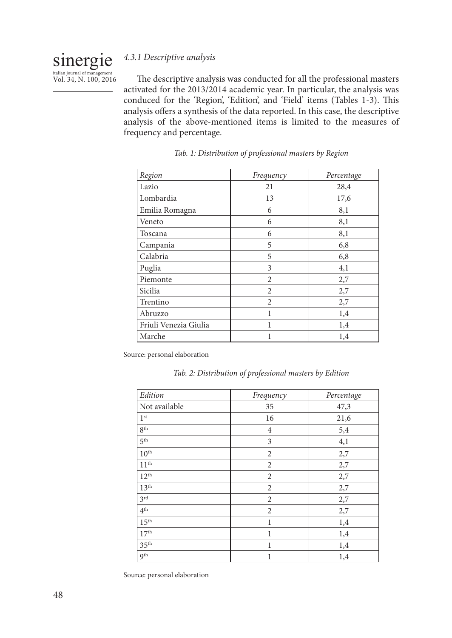#### sinergie *4.3.1 Descriptive analysis*

italian journal of management Vol. 34, N. 100, 2016

The descriptive analysis was conducted for all the professional masters activated for the 2013/2014 academic year. In particular, the analysis was conduced for the 'Region', 'Edition', and 'Field' items (Tables 1-3). This analysis offers a synthesis of the data reported. In this case, the descriptive analysis of the above-mentioned items is limited to the measures of frequency and percentage.

| Region                | Frequency      | Percentage |
|-----------------------|----------------|------------|
| Lazio                 | 21             | 28,4       |
| Lombardia             | 13             | 17,6       |
| Emilia Romagna        | 6              | 8,1        |
| Veneto                | 6              | 8,1        |
| Toscana               | 6              | 8,1        |
| Campania              | 5              | 6,8        |
| Calabria              | 5              | 6,8        |
| Puglia                | 3              | 4,1        |
| Piemonte              | $\overline{c}$ | 2,7        |
| Sicilia               | $\overline{2}$ | 2,7        |
| Trentino              | $\overline{c}$ | 2,7        |
| Abruzzo               | 1              | 1,4        |
| Friuli Venezia Giulia | 1              | 1,4        |
| Marche                | 1              | 1,4        |

| Tab. 1: Distribution of professional masters by Region |  |  |  |  |  |
|--------------------------------------------------------|--|--|--|--|--|
|--------------------------------------------------------|--|--|--|--|--|

Source: personal elaboration

|  |  |  | Tab. 2: Distribution of professional masters by Edition |
|--|--|--|---------------------------------------------------------|
|--|--|--|---------------------------------------------------------|

| Edition          | Frequency      | Percentage |
|------------------|----------------|------------|
| Not available    | 35             | 47,3       |
| 1 <sup>st</sup>  | 16             | 21,6       |
| 8 <sup>th</sup>  | $\overline{4}$ | 5,4        |
| 5 <sup>th</sup>  | 3              | 4,1        |
| $10^{\text{th}}$ | $\overline{2}$ | 2,7        |
| 11 <sup>th</sup> | $\overline{2}$ | 2,7        |
| $12^{th}$        | $\overline{2}$ | 2,7        |
| 13 <sup>th</sup> | $\overline{2}$ | 2,7        |
| 3 <sup>rd</sup>  | $\overline{2}$ | 2,7        |
| $4^{\text{th}}$  | $\overline{2}$ | 2,7        |
| $15^{\text{th}}$ | 1              | 1,4        |
| 17 <sup>th</sup> | $\mathbf{1}$   | 1,4        |
| 35 <sup>th</sup> | $\mathbf{1}$   | 1,4        |
| Q <sup>th</sup>  | $\mathbf{1}$   | 1,4        |

Source: personal elaboration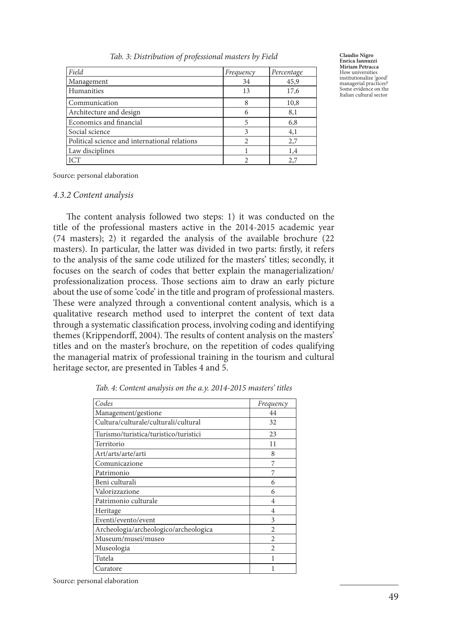| Tab. 3: Distribution of professional masters by Field |  |  |
|-------------------------------------------------------|--|--|
|-------------------------------------------------------|--|--|

| Field                                         | Frequency      | Percentage |
|-----------------------------------------------|----------------|------------|
| Management                                    | 34             | 45,9       |
| <b>Humanities</b>                             | 13             | 17,6       |
| Communication                                 | 8              | 10,8       |
| Architecture and design                       | 6              | 8,1        |
| Economics and financial                       | 5              | 6,8        |
| Social science                                | 3              | 4,1        |
| Political science and international relations | $\mathfrak{D}$ | 2,7        |
| Law disciplines                               |                | 1,4        |
| <b>ICT</b>                                    |                | 2,7        |

**Claudio Nigro Enrica Iannuzzi Miriam Petracca**  How universities institutionalize 'good' managerial practices? Some evidence on the Italian cultural sector

Source: personal elaboration

#### *4.3.2 Content analysis*

The content analysis followed two steps: 1) it was conducted on the title of the professional masters active in the 2014-2015 academic year (74 masters); 2) it regarded the analysis of the available brochure (22 masters). In particular, the latter was divided in two parts: firstly, it refers to the analysis of the same code utilized for the masters' titles; secondly, it focuses on the search of codes that better explain the managerialization/ professionalization process. Those sections aim to draw an early picture about the use of some 'code' in the title and program of professional masters. These were analyzed through a conventional content analysis, which is a qualitative research method used to interpret the content of text data through a systematic classification process, involving coding and identifying themes (Krippendorff, 2004). The results of content analysis on the masters' titles and on the master's brochure, on the repetition of codes qualifying the managerial matrix of professional training in the tourism and cultural heritage sector, are presented in Tables 4 and 5.

| Codes                                 | Frequency      |
|---------------------------------------|----------------|
| Management/gestione                   | 44             |
| Cultura/culturale/culturali/cultural  | 32             |
| Turismo/turistica/turistico/turistici | 23             |
| Territorio                            | 11             |
| Art/arts/arte/arti                    | 8              |
| Comunicazione                         | 7              |
| Patrimonio                            | 7              |
| Beni culturali                        | 6              |
| Valorizzazione                        | 6              |
| Patrimonio culturale                  | 4              |
| Heritage                              | 4              |
| Eventi/evento/event                   | 3              |
| Archeologia/archeologico/archeologica | $\overline{c}$ |
| Museum/musei/museo                    | $\overline{c}$ |
| Museologia                            | $\mathfrak{D}$ |
| Tutela                                |                |
| Curatore                              | 1              |
|                                       |                |

*Tab. 4: Content analysis on the a.y. 2014-2015 masters' titles*

Source: personal elaboration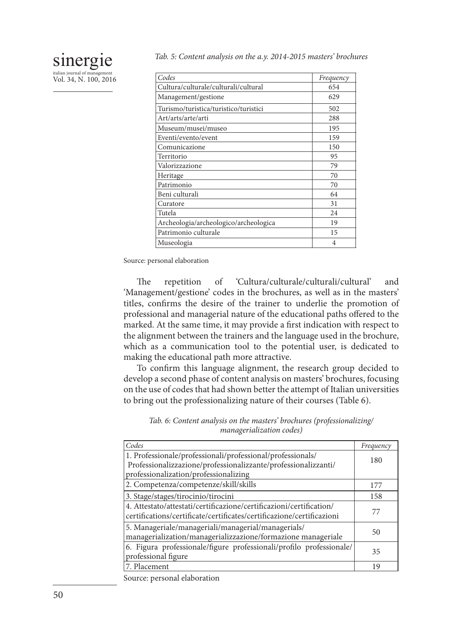| Codes                                 | Frequency |
|---------------------------------------|-----------|
| Cultura/culturale/culturali/cultural  | 654       |
| Management/gestione                   | 629       |
| Turismo/turistica/turistico/turistici | 502       |
| Art/arts/arte/arti                    | 288       |
| Museum/musei/museo                    | 195       |
| Eventi/evento/event                   | 159       |
| Comunicazione                         | 150       |
| Territorio                            | 95        |
| Valorizzazione                        | 79        |
| Heritage                              | 70        |
| Patrimonio                            | 70        |
| Beni culturali                        | 64        |
| Curatore                              | 31        |
| Tutela                                | 24        |
| Archeologia/archeologico/archeologica | 19        |
| Patrimonio culturale                  | 15        |
| Museologia                            | 4         |

Source: personal elaboration

sinergie italian journal of management Vol. 34, N. 100, 2016

> The repetition of 'Cultura/culturale/culturali/cultural' and 'Management/gestione' codes in the brochures, as well as in the masters' titles, confirms the desire of the trainer to underlie the promotion of professional and managerial nature of the educational paths offered to the marked. At the same time, it may provide a first indication with respect to the alignment between the trainers and the language used in the brochure, which as a communication tool to the potential user, is dedicated to making the educational path more attractive.

> To confirm this language alignment, the research group decided to develop a second phase of content analysis on masters' brochures, focusing on the use of codes that had shown better the attempt of Italian universities to bring out the professionalizing nature of their courses (Table 6).

|  |  |                                  | Tab. 6: Content analysis on the masters' brochures (professionalizing/ |  |
|--|--|----------------------------------|------------------------------------------------------------------------|--|
|  |  | <i>managerialization codes</i> ) |                                                                        |  |

| Codes                                                                                                                                        | Frequency |
|----------------------------------------------------------------------------------------------------------------------------------------------|-----------|
| 1. Professionale/professionali/professional/professionals/<br>Professionalizzazione/professionalizzante/professionalizzanti/                 | 180       |
| professionalization/professionalizing                                                                                                        |           |
| 2. Competenza/competenze/skill/skills                                                                                                        | 177       |
| 3. Stage/stages/tirocinio/tirocini                                                                                                           | 158       |
| 4. Attestato/attestati/certificazione/certificazioni/certification/<br>certifications/certificate/certificates/certificazione/certificazioni | 77        |
| 5. Manageriale/manageriali/managerial/managerials/<br>managerialization/managerializzazione/formazione manageriale                           | 50        |
| 6. Figura professionale/figure professionali/profilo professionale/<br>professional figure                                                   | 35        |
| 7. Placement                                                                                                                                 | 19        |

Source: personal elaboration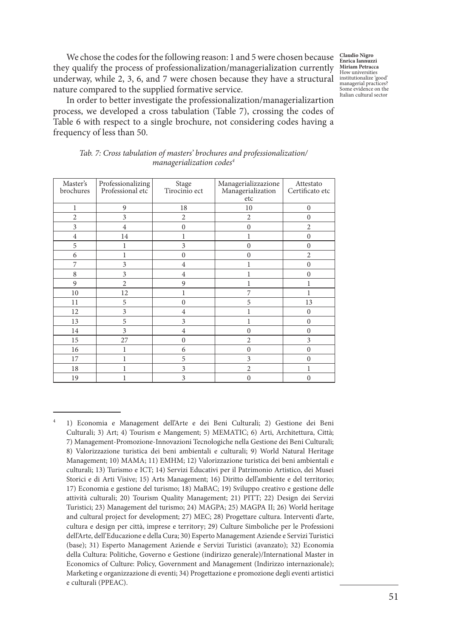**Claudio Nigro Enrica Iannuzzi Miriam Petracca**  How universities institutionalize 'good' managerial practices? Some evidence on the Italian cultural sector

We chose the codes for the following reason: 1 and 5 were chosen because they qualify the process of professionalization/managerialization currently underway, while 2, 3, 6, and 7 were chosen because they have a structural nature compared to the supplied formative service.

In order to better investigate the professionalization/managerializartion process, we developed a cross tabulation (Table 7), crossing the codes of Table 6 with respect to a single brochure, not considering codes having a frequency of less than 50.

| Master's<br>brochures | Professionalizing<br>Professional etc | Stage<br>Tirocinio ect | Managerializzazione<br>Managerialization<br>etc | Attestato<br>Certificato etc |
|-----------------------|---------------------------------------|------------------------|-------------------------------------------------|------------------------------|
| 1                     | 9                                     | 18                     | 10                                              | $\mathbf{0}$                 |
|                       |                                       |                        |                                                 |                              |
| $\overline{c}$        | 3                                     | $\overline{2}$         | $\overline{2}$                                  | $\mathbf{0}$                 |
| 3                     | $\overline{4}$                        | $\mathbf{0}$           | $\mathbf{0}$                                    | $\overline{c}$               |
| $\overline{4}$        | 14                                    | 1                      | 1                                               | $\mathbf{0}$                 |
| 5                     |                                       | 3                      | $\theta$                                        | $\mathbf{0}$                 |
| 6                     |                                       | $\mathbf{0}$           | $\theta$                                        | $\overline{c}$               |
| 7                     | 3                                     | $\overline{4}$         |                                                 | $\mathbf{0}$                 |
| 8                     | 3                                     | $\overline{4}$         |                                                 | $\mathbf{0}$                 |
| 9                     | $\overline{2}$                        | 9                      | l                                               | 1                            |
| 10                    | 12                                    | 1                      | 7                                               | 1                            |
| 11                    | 5                                     | $\mathbf{0}$           | 5                                               | 13                           |
| 12                    | 3                                     | $\overline{4}$         |                                                 | $\mathbf{0}$                 |
| 13                    | 5                                     | 3                      |                                                 | $\Omega$                     |
| 14                    | 3                                     | $\overline{4}$         | $\theta$                                        | $\mathbf{0}$                 |
| 15                    | 27                                    | $\mathbf{0}$           | $\overline{2}$                                  | 3                            |
| 16                    |                                       | 6                      | $\mathbf{0}$                                    | $\mathbf{0}$                 |
| 17                    |                                       | 5                      | 3                                               | $\mathbf{0}$                 |
| 18                    |                                       | 3                      | $\overline{2}$                                  |                              |
| 19                    |                                       | 3                      | $\mathbf{0}$                                    | $\mathbf{0}$                 |

*Tab. 7: Cross tabulation of masters' brochures and professionalization/ managerialization codes4*

<sup>4</sup> 1) Economia e Management dell'Arte e dei Beni Culturali; 2) Gestione dei Beni Culturali; 3) Art; 4) Tourism e Mangement; 5) MEMATIC; 6) Arti, Architettura, Città; 7) Management-Promozione-Innovazioni Tecnologiche nella Gestione dei Beni Culturali; 8) Valorizzazione turistica dei beni ambientali e culturali; 9) World Natural Heritage Management; 10) MAMA; 11) EMHM; 12) Valorizzazione turistica dei beni ambientali e culturali; 13) Turismo e ICT; 14) Servizi Educativi per il Patrimonio Artistico, dei Musei Storici e di Arti Visive; 15) Arts Management; 16) Diritto dell'ambiente e del territorio; 17) Economia e gestione del turismo; 18) MaBAC; 19) Sviluppo creativo e gestione delle attività culturali; 20) Tourism Quality Management; 21) PITT; 22) Design dei Servizi Turistici; 23) Management del turismo; 24) MAGPA; 25) MAGPA II; 26) World heritage and cultural project for development; 27) MEC; 28) Progettare cultura. Interventi d'arte, cultura e design per città, imprese e territory; 29) Culture Simboliche per le Professioni dell'Arte, dell'Educazione e della Cura; 30) Esperto Management Aziende e Servizi Turistici (base); 31) Esperto Management Aziende e Servizi Turistici (avanzato); 32) Economia della Cultura: Politiche, Governo e Gestione (indirizzo generale)/International Master in Economics of Culture: Policy, Government and Management (Indirizzo internazionale); Marketing e organizzazione di eventi; 34) Progettazione e promozione degli eventi artistici e culturali (PPEAC).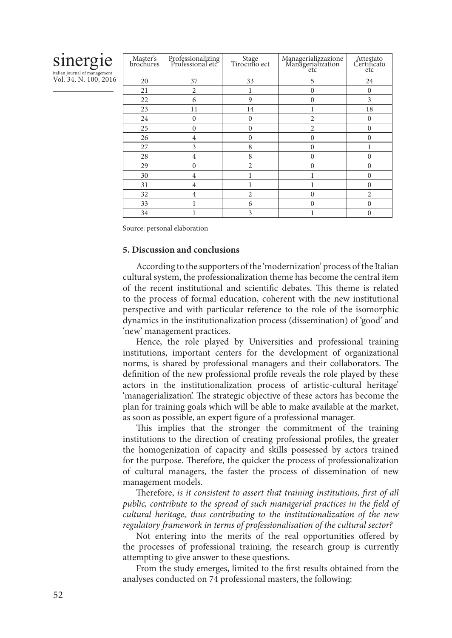# sinergie

italian journal of management Vol. 34, N. 100, 2016

| Master's<br>brochures | Professionalizing<br>Professional etc | Stage<br>Tirocinio ect | $\begin{array}{c} \text{Managementizzazione}\\ \text{Managementization}\\ \text{etc} \end{array}$ | Attestato<br>Certificato<br>etc |
|-----------------------|---------------------------------------|------------------------|---------------------------------------------------------------------------------------------------|---------------------------------|
| 20                    | 37                                    | 33                     | 5                                                                                                 | 24                              |
| 21                    | $\overline{2}$                        |                        | $\theta$                                                                                          | $\Omega$                        |
| 22                    | 6                                     | 9                      | $\theta$                                                                                          | 3                               |
| 23                    | 11                                    | 14                     |                                                                                                   | 18                              |
| 24                    | $\Omega$                              | $\Omega$               | $\overline{2}$                                                                                    | $\Omega$                        |
| 25                    | $\theta$                              | $\theta$               | $\overline{2}$                                                                                    | $\theta$                        |
| 26                    | $\overline{4}$                        | $\mathbf{0}$           | $\Omega$                                                                                          | $\Omega$                        |
| 27                    | 3                                     | 8                      | $\Omega$                                                                                          |                                 |
| 28                    | 4                                     | 8                      | $\theta$                                                                                          | $\theta$                        |
| 29                    | $\theta$                              | $\overline{2}$         | $\Omega$                                                                                          | $\Omega$                        |
| 30                    | $\overline{4}$                        |                        |                                                                                                   | $\Omega$                        |
| 31                    | 4                                     |                        |                                                                                                   | $\theta$                        |
| 32                    | $\overline{4}$                        | $\overline{2}$         | $\Omega$                                                                                          | $\overline{c}$                  |
| 33                    |                                       | 6                      | $\Omega$                                                                                          | $\Omega$                        |
| 34                    |                                       | 3                      |                                                                                                   | $\theta$                        |

Source: personal elaboration

## **5. Discussion and conclusions**

According to the supporters of the 'modernization' process of the Italian cultural system, the professionalization theme has become the central item of the recent institutional and scientific debates. This theme is related to the process of formal education, coherent with the new institutional perspective and with particular reference to the role of the isomorphic dynamics in the institutionalization process (dissemination) of 'good' and 'new' management practices.

Hence, the role played by Universities and professional training institutions, important centers for the development of organizational norms, is shared by professional managers and their collaborators. The definition of the new professional profile reveals the role played by these actors in the institutionalization process of artistic-cultural heritage' 'managerialization'. The strategic objective of these actors has become the plan for training goals which will be able to make available at the market, as soon as possible, an expert figure of a professional manager.

This implies that the stronger the commitment of the training institutions to the direction of creating professional profiles, the greater the homogenization of capacity and skills possessed by actors trained for the purpose. Therefore, the quicker the process of professionalization of cultural managers, the faster the process of dissemination of new management models.

Therefore, *is it consistent to assert that training institutions, first of all public, contribute to the spread of such managerial practices in the field of cultural heritage, thus contributing to the institutionalization of the new regulatory framework in terms of professionalisation of the cultural sector?* 

Not entering into the merits of the real opportunities offered by the processes of professional training, the research group is currently attempting to give answer to these questions.

From the study emerges, limited to the first results obtained from the analyses conducted on 74 professional masters, the following: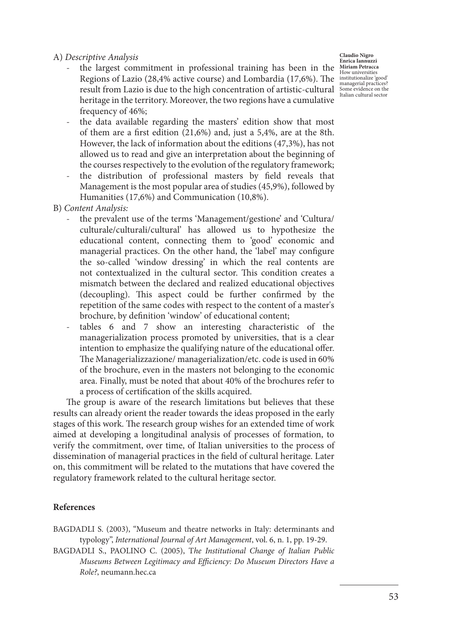A) *Descriptive Analysis*

- the largest commitment in professional training has been in the Regions of Lazio (28,4% active course) and Lombardia (17,6%). The institutionalize 'good' result from Lazio is due to the high concentration of artistic-cultural managerial practices?<br>
Italian cultural sector heritage in the territory. Moreover, the two regions have a cumulative frequency of 46%;
- the data available regarding the masters' edition show that most of them are a first edition (21,6%) and, just a 5,4%, are at the 8th. However, the lack of information about the editions (47,3%), has not allowed us to read and give an interpretation about the beginning of the courses respectively to the evolution of the regulatory framework;
- the distribution of professional masters by field reveals that Management is the most popular area of studies (45,9%), followed by Humanities (17,6%) and Communication (10,8%).
- B) *Content Analysis:*
	- the prevalent use of the terms 'Management/gestione' and 'Cultura/ culturale/culturali/cultural' has allowed us to hypothesize the educational content, connecting them to 'good' economic and managerial practices. On the other hand, the 'label' may configure the so-called 'window dressing' in which the real contents are not contextualized in the cultural sector. This condition creates a mismatch between the declared and realized educational objectives (decoupling). This aspect could be further confirmed by the repetition of the same codes with respect to the content of a master's brochure, by definition 'window' of educational content;
	- tables 6 and 7 show an interesting characteristic of the managerialization process promoted by universities, that is a clear intention to emphasize the qualifying nature of the educational offer. The Managerializzazione/ managerialization/etc. code is used in 60% of the brochure, even in the masters not belonging to the economic area. Finally, must be noted that about 40% of the brochures refer to a process of certification of the skills acquired.

The group is aware of the research limitations but believes that these results can already orient the reader towards the ideas proposed in the early stages of this work. The research group wishes for an extended time of work aimed at developing a longitudinal analysis of processes of formation, to verify the commitment, over time, of Italian universities to the process of dissemination of managerial practices in the field of cultural heritage. Later on, this commitment will be related to the mutations that have covered the regulatory framework related to the cultural heritage sector.

#### **References**

- BAGDADLI S. (2003), "Museum and theatre networks in Italy: determinants and typology", *International Journal of Art Management*, vol. 6, n. 1, pp. 19-29.
- BAGDADLI S., PAOLINO C. (2005), T*he Institutional Change of Italian Public Museums Between Legitimacy and Efficiency: Do Museum Directors Have a Role?*, neumann.hec.ca

**Claudio Nigro Enrica Iannuzzi Miriam Petracca**  How universities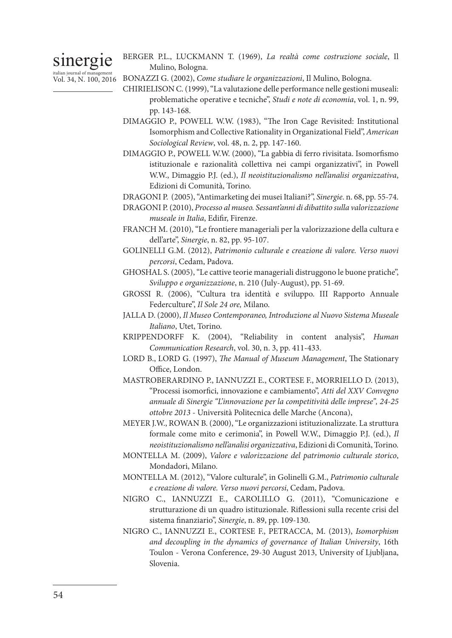# sinergie

BERGER P.L., LUCKMANN T. (1969), *La realtà come costruzione sociale*, Il Mulino, Bologna.

- <sub>italian journal of management</sub><br>Vol. 34, N. 100, 2016 BONAZZI G. (2002), *Come studiare le organizzazioni*, Il Mulino, Bologna.
	- CHIRIELISON C. (1999), "La valutazione delle performance nelle gestioni museali: problematiche operative e tecniche", *Studi e note di economia*, vol. 1, n. 99, pp. 143-168.
	- DIMAGGIO P., POWELL W.W. (1983), "The Iron Cage Revisited: Institutional Isomorphism and Collective Rationality in Organizational Field", *American Sociological Review*, vol. 48, n. 2, pp. 147-160.
	- DIMAGGIO P., POWELL W.W. (2000), "La gabbia di ferro rivisitata. Isomorfismo istituzionale e razionalità collettiva nei campi organizzativi", in Powell W.W., Dimaggio P.J. (ed.), *Il neoistituzionalismo nell'analisi organizzativa*, Edizioni di Comunità, Torino.
	- DRAGONI P. (2005), "Antimarketing dei musei Italiani?", *Sinergie*. n. 68, pp. 55-74.
	- DRAGONI P. (2010), *Processo al museo. Sessant'anni di dibattito sulla valorizzazione museale in Italia*, Edifir, Firenze.
	- FRANCH M. (2010), "Le frontiere manageriali per la valorizzazione della cultura e dell'arte", *Sinergie*, n. 82, pp. 95-107.
	- GOLINELLI G.M. (2012), *Patrimonio culturale e creazione di valore. Verso nuovi percorsi*, Cedam, Padova.
	- GHOSHAL S. (2005), "Le cattive teorie manageriali distruggono le buone pratiche", *Sviluppo e organizzazione*, n. 210 (July-August), pp. 51-69.
	- GROSSI R. (2006), "Cultura tra identità e sviluppo. III Rapporto Annuale Federculture", *Il Sole 24 ore,* Milano.
	- JALLA D. (2000), *Il Museo Contemporaneo, Introduzione al Nuovo Sistema Museale Italiano*, Utet, Torino.
	- KRIPPENDORFF K. (2004), "Reliability in content analysis", *Human Communication Research*, vol. 30, n. 3, pp. 411-433.
	- LORD B., LORD G. (1997), *The Manual of Museum Management*, The Stationary Office, London.
	- MASTROBERARDINO P., IANNUZZI E., CORTESE F., MORRIELLO D. (2013), "Processi isomorfici, innovazione e cambiamento", *Atti del XXV Convegno annuale di Sinergie "L'innovazione per la competitività delle imprese", 24-25 ottobre 2013* - Università Politecnica delle Marche (Ancona),
	- MEYER J.W., ROWAN B. (2000), "Le organizzazioni istituzionalizzate. La struttura formale come mito e cerimonia", in Powell W.W., Dimaggio P.J. (ed.), *Il neoistituzionalismo nell'analisi organizzativa*, Edizioni di Comunità, Torino.
	- MONTELLA M. (2009), *Valore e valorizzazione del patrimonio culturale storico*, Mondadori, Milano.
	- MONTELLA M. (2012), "Valore culturale", in Golinelli G.M., *Patrimonio culturale e creazione di valore. Verso nuovi percorsi*, Cedam, Padova.
	- NIGRO C., IANNUZZI E., CAROLILLO G. (2011), "Comunicazione e strutturazione di un quadro istituzionale. Riflessioni sulla recente crisi del sistema finanziario", *Sinergie*, n. 89, pp. 109-130.
	- NIGRO C., IANNUZZI E., CORTESE F., PETRACCA, M. (2013), *Isomorphism and decoupling in the dynamics of governance of Italian University*, 16th Toulon - Verona Conference, 29-30 August 2013, University of Ljubljana, Slovenia.